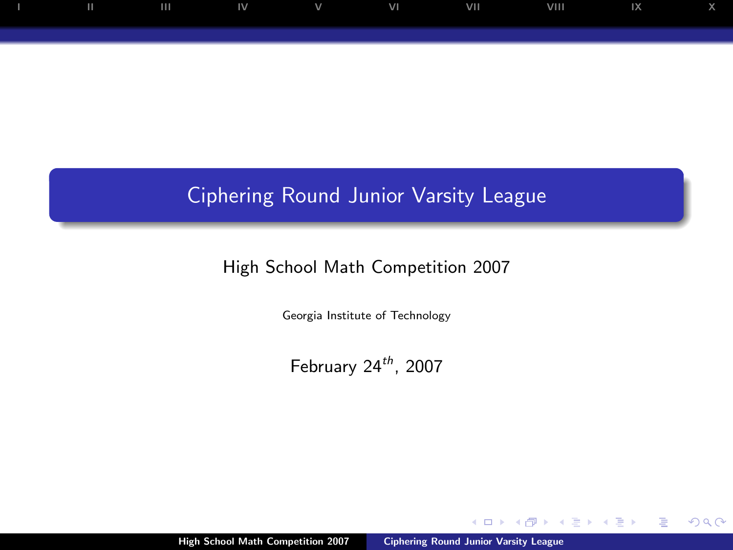# Ciphering Round Junior Varsity League

## High School Math Competition 2007

Georgia Institute of Technology

February  $24^{th}$ , 2007

 $\leftarrow$ 

<span id="page-0-0"></span> $299$ 

重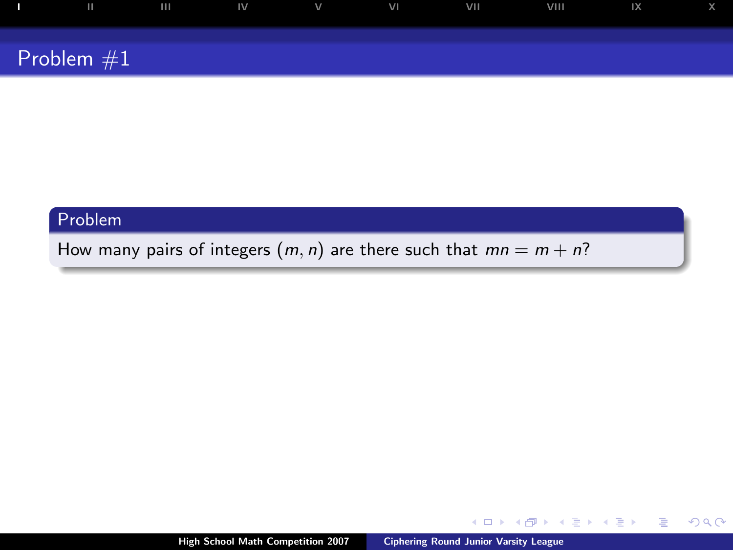| ш            | $\mathbf{H}$ | $\blacksquare$ | $\mathbf{V}$ | VI | VII | VIII | $\mathsf{I} \mathsf{X}$ |  |
|--------------|--------------|----------------|--------------|----|-----|------|-------------------------|--|
|              |              |                |              |    |     |      |                         |  |
| Problem $#1$ |              |                |              |    |     |      |                         |  |

How many pairs of integers  $(m, n)$  are there such that  $mn = m + n$ ?

 $\leftarrow$   $\Box$ 

ミド メミド

<span id="page-1-0"></span>Þ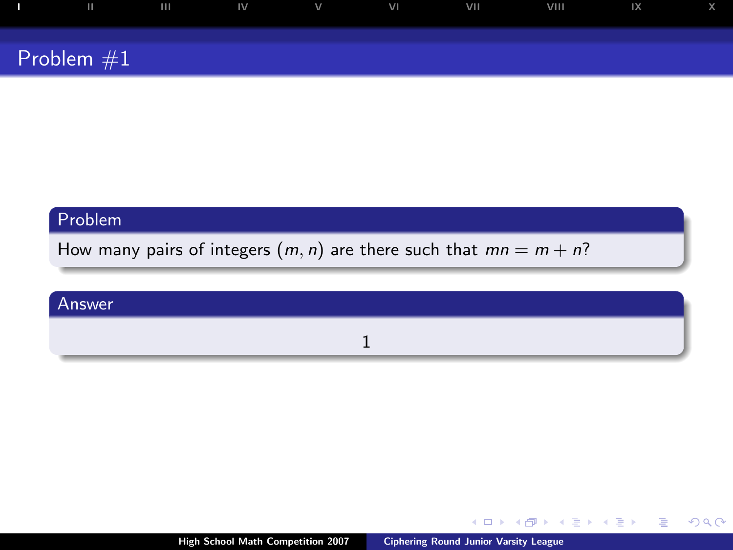| $\mathbf{H}$ | $\mathbf{III}$ | $\blacksquare$ | $\vee$ | VI | VII | VIII | 1X |  |
|--------------|----------------|----------------|--------|----|-----|------|----|--|
|              |                |                |        |    |     |      |    |  |
| Problem $#1$ |                |                |        |    |     |      |    |  |

How many pairs of integers  $(m, n)$  are there such that  $mn = m + n$ ?

### Answer

1

 $\leftarrow$   $\Box$   $\rightarrow$ 

4 间  $\mathbf{p}$  4 日本 4 日本

G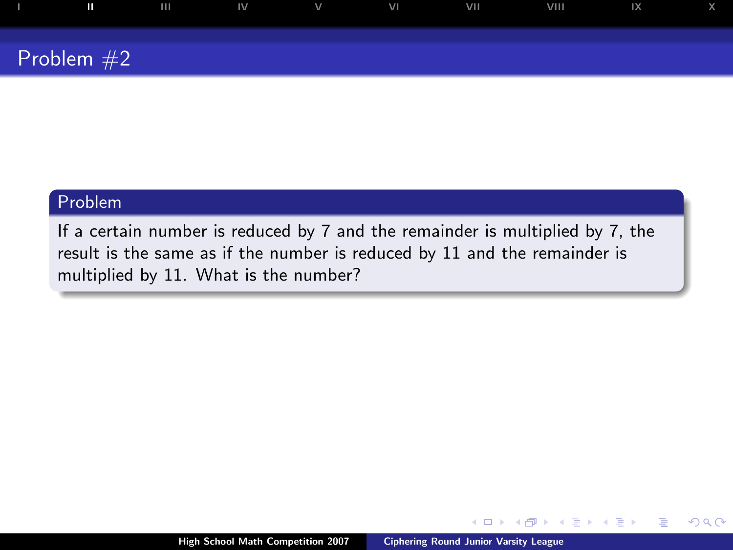

If a certain number is reduced by 7 and the remainder is multiplied by 7, the result is the same as if the number is reduced by 11 and the remainder is multiplied by 11. What is the number?

 $\Box$ 

 $2Q$ 

<span id="page-3-0"></span>∍

э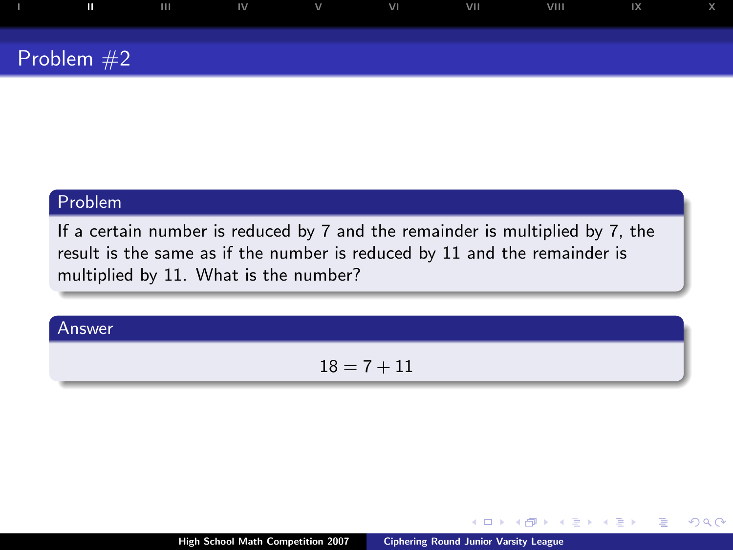

If a certain number is reduced by 7 and the remainder is multiplied by 7, the result is the same as if the number is reduced by 11 and the remainder is multiplied by 11. What is the number?

#### Answer

#### $18 = 7 + 11$

 $\leftarrow$ 

 $QQ$ 

∍

э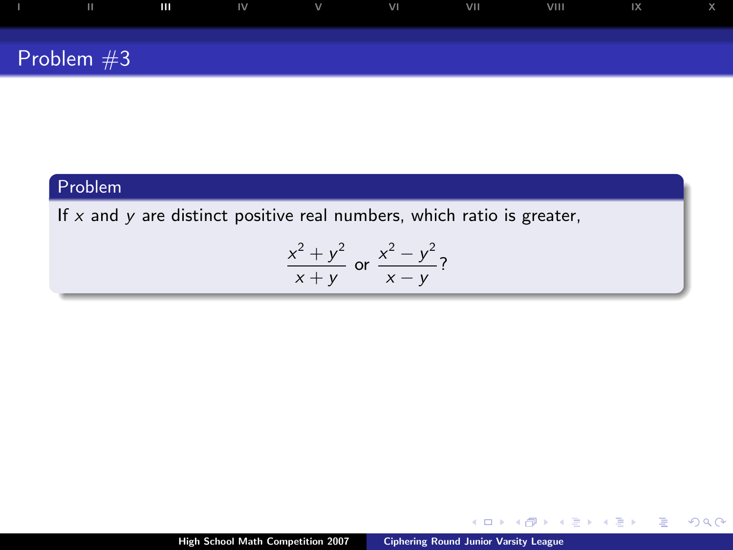

If  $x$  and  $y$  are distinct positive real numbers, which ratio is greater,

$$
\frac{x^2 + y^2}{x + y}
$$
 or  $\frac{x^2 - y^2}{x - y}$ ?

 $\leftarrow$ 

<span id="page-5-0"></span>Þ

э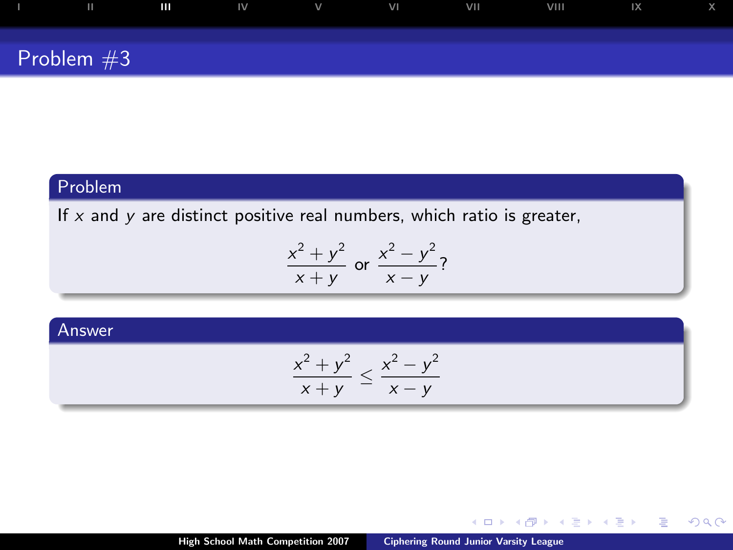| . .          | $\mathbf{m}$ | $\mathsf{IV}$<br><u> a shi ne a shekara ta 1980 na shekara ta 1980 na shekara ta 1980 na shekara ta 1980 na shekara ta 1980 na shekara ta 1980 na shekara ta 1980 na shekara ta 1980 na shekara ta 1980 na shekara ta 1980 na shekara ta 1980 na </u> | $V$ and $V$ | VI | <b>VII</b> | VIII | 1X |  |
|--------------|--------------|-------------------------------------------------------------------------------------------------------------------------------------------------------------------------------------------------------------------------------------------------------|-------------|----|------------|------|----|--|
| Problem $#3$ |              |                                                                                                                                                                                                                                                       |             |    |            |      |    |  |

If  $x$  and  $y$  are distinct positive real numbers, which ratio is greater,

$$
\frac{x^2 + y^2}{x + y}
$$
 or  $\frac{x^2 - y^2}{x - y}$ ?

#### Answer

$$
\frac{x^2 + y^2}{x + y} \le \frac{x^2 - y^2}{x - y}
$$

 $\leftarrow$   $\Box$ 

Þ

モミト

∍

 $2Q$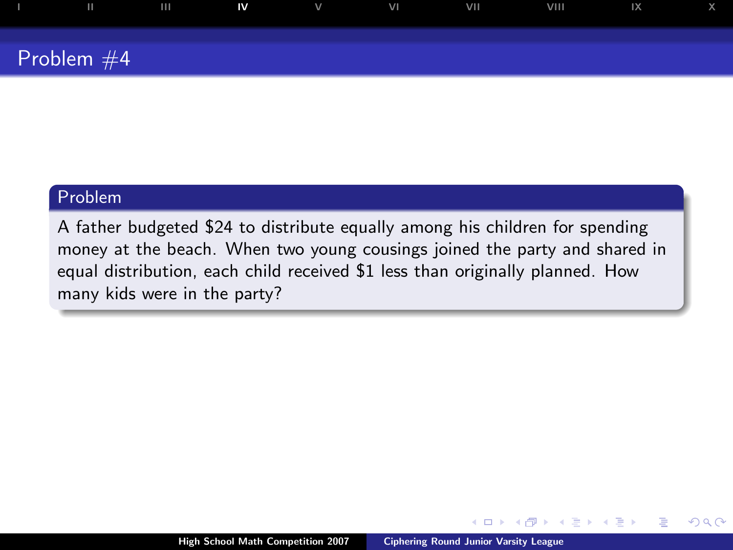# [I](#page-1-0) [II](#page-3-0) II**[IV](#page-7-0)** V VI VII V[III](#page-5-0) [IX](#page-17-0) [X](#page-19-0) Problem #4

## Problem

A father budgeted \$24 to distribute equally among his children for spending money at the beach. When two young cousings joined the party and shared in equal distribution, each child received \$1 less than originally planned. How many kids were in the party?

<span id="page-7-0"></span> $2Q$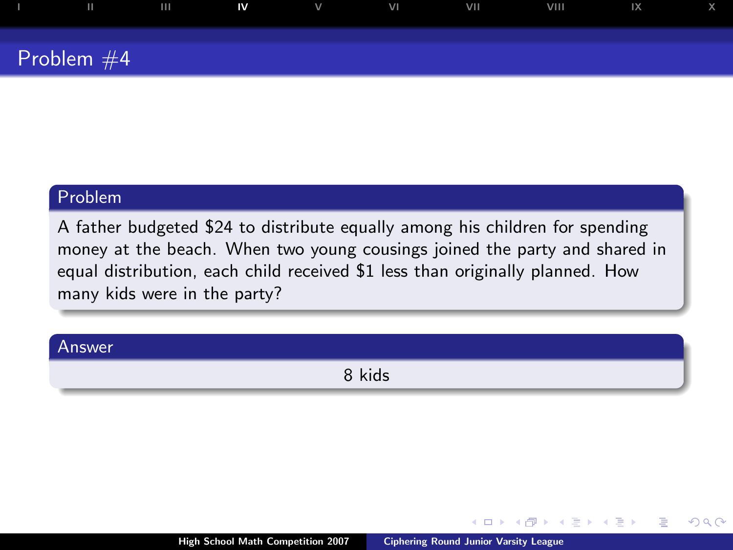|              | $\mathbf{H}$ | IV | $\vee$ | <b>VI</b> | <b>VII</b> | <b>VIII</b> | 1X |  |
|--------------|--------------|----|--------|-----------|------------|-------------|----|--|
| Problem $#4$ |              |    |        |           |            |             |    |  |

A father budgeted \$24 to distribute equally among his children for spending money at the beach. When two young cousings joined the party and shared in equal distribution, each child received \$1 less than originally planned. How many kids were in the party?

| Answer |        |
|--------|--------|
|        | 8 kids |

つひへ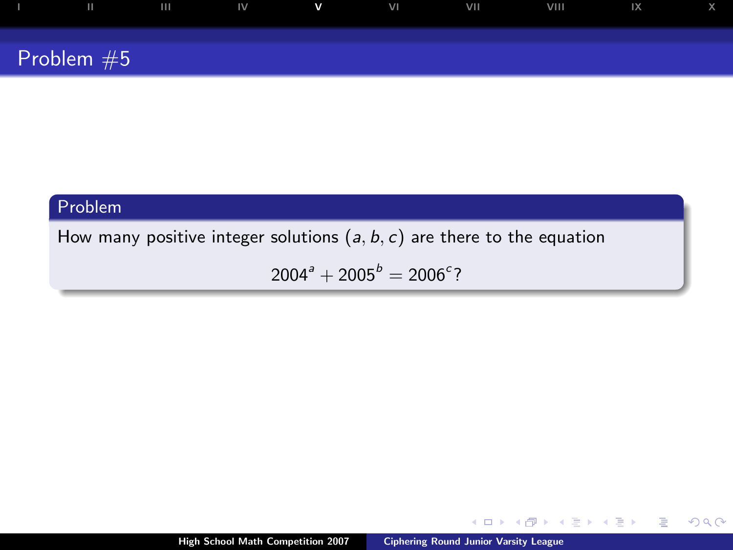| ш            | $\mathsf{I} \mathsf{I} \mathsf{I}$ $\mathsf{I} \mathsf{V}$ $\mathsf{V}$ | VI | VII | VIII | $\mathbb{R}$ and $\mathbb{R}$ |  |
|--------------|-------------------------------------------------------------------------|----|-----|------|-------------------------------|--|
| Problem $#5$ |                                                                         |    |     |      |                               |  |
|              |                                                                         |    |     |      |                               |  |

How many positive integer solutions  $(a, b, c)$  are there to the equation

 $2004^a + 2005^b = 2006^c$ ?

4日)

 $\leftarrow \Xi \rightarrow$ 

∍

<span id="page-9-0"></span>Þ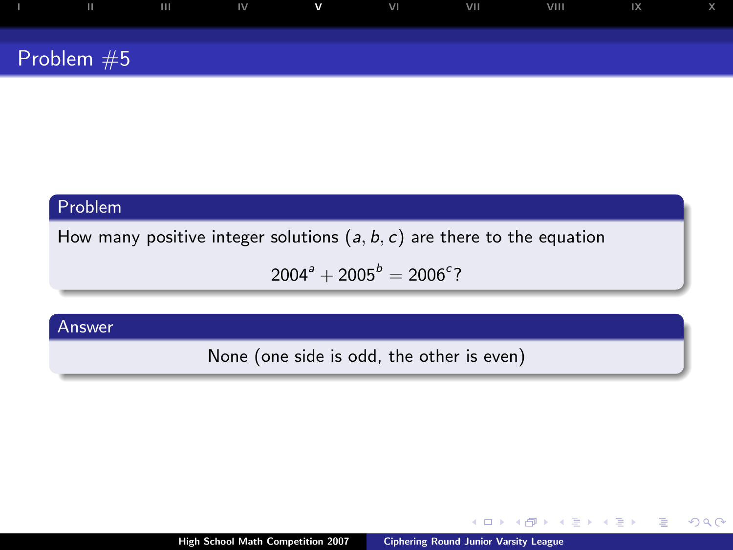| Ш            | $\mathbf{H}$ | $\mathsf{IV}$ | $\mathbf v$ | VI | VII | VIII | 1X |  |
|--------------|--------------|---------------|-------------|----|-----|------|----|--|
| Problem $#5$ |              |               |             |    |     |      |    |  |

How many positive integer solutions  $(a, b, c)$  are there to the equation

 $2004^a + 2005^b = 2006^c$ ?

## Answer

None (one side is odd, the other is even)

 $-10.5$ 

 $\rightarrow$   $\Rightarrow$ 

Э×

 $2Q$ 

э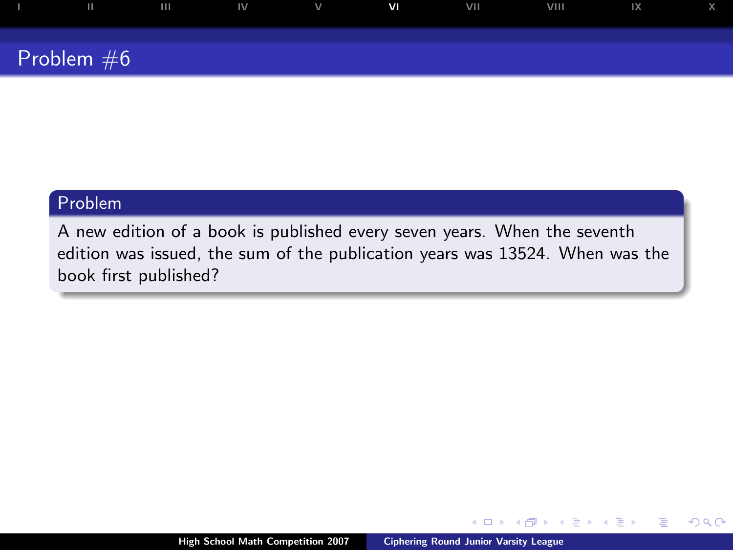| ш            | $\overline{111}$ | $\mathbf{N}$ | $\vee$ | V <sub>1</sub> | VII | VIII | $\overline{X}$ |  |
|--------------|------------------|--------------|--------|----------------|-----|------|----------------|--|
| Problem $#6$ |                  |              |        |                |     |      |                |  |
|              |                  |              |        |                |     |      |                |  |

A new edition of a book is published every seven years. When the seventh edition was issued, the sum of the publication years was 13524. When was the book first published?

 $\leftarrow$ 

÷.

 $2Q$ 

<span id="page-11-0"></span>∍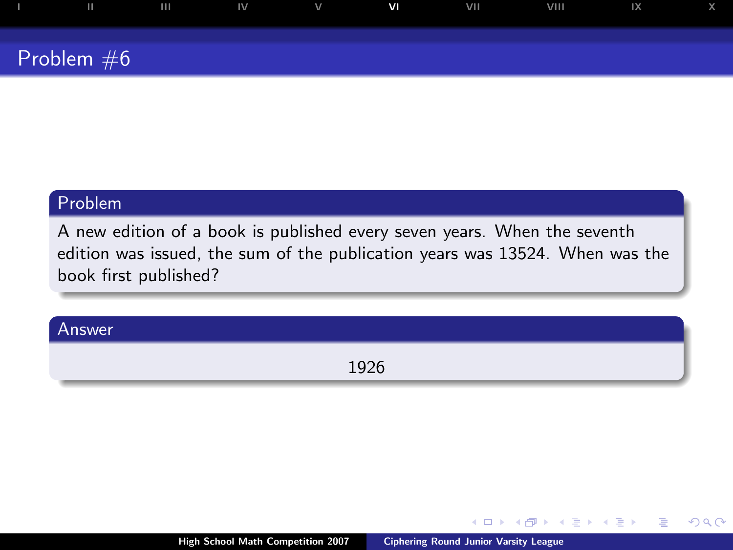| Ш            | $\overline{111}$ | $\mathsf{IV}$ | $\vee$ | V <sub>1</sub> | <b>VIII</b> | VIII | 1X |  |
|--------------|------------------|---------------|--------|----------------|-------------|------|----|--|
| Problem $#6$ |                  |               |        |                |             |      |    |  |

A new edition of a book is published every seven years. When the seventh edition was issued, the sum of the publication years was 13524. When was the book first published?

| Answer |
|--------|
|        |

1926

 $-10.5$ 

 $QQ$ 

э

不良 下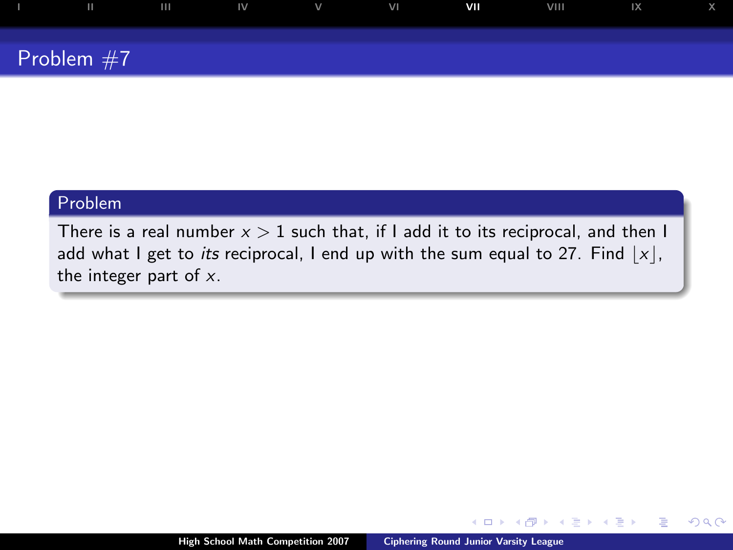| П            | $\mathbf{H}$ | $\mathsf{IV}$ | $\vee$ | VI | VII | VIII | $\mathsf{IX}$ |  |
|--------------|--------------|---------------|--------|----|-----|------|---------------|--|
|              |              |               |        |    |     |      |               |  |
| Problem $#7$ |              |               |        |    |     |      |               |  |

There is a real number  $x > 1$  such that, if I add it to its reciprocal, and then I add what I get to *its* reciprocal, I end up with the sum equal to 27. Find  $|x|$ , the integer part of  $x$ .

 $\leftarrow$ 

 $2Q$ 

<span id="page-13-0"></span>э

モミト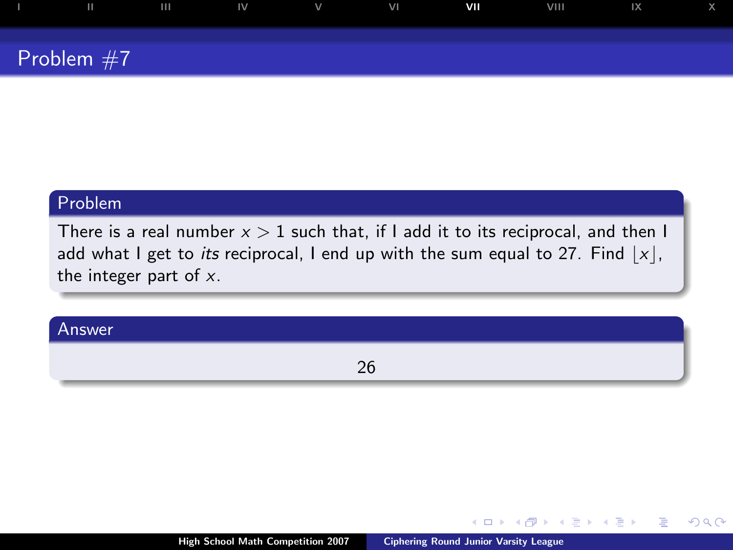| Ш            | $\mathbf{H}$ | IV | $\vee$ | VI | <b>VII</b> | VIII | 1X |  |
|--------------|--------------|----|--------|----|------------|------|----|--|
| Problem $#7$ |              |    |        |    |            |      |    |  |

There is a real number  $x > 1$  such that, if I add it to its reciprocal, and then I add what I get to its reciprocal, I end up with the sum equal to 27. Find  $|x|$ . the integer part of  $x$ .

Answer

26

 $-10.5$ 

Þ

モミト

 $QQ$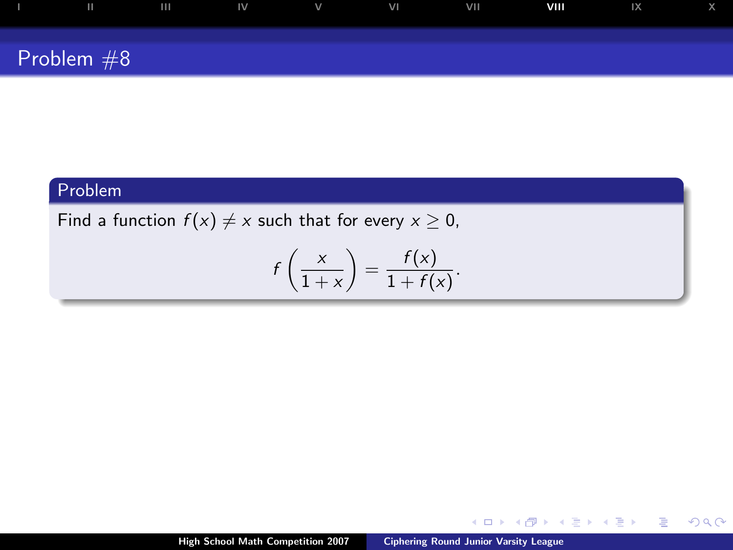| Ш            | $\mathbf{III}$ | $\mathsf{IV}$ | $\mathbf v$ | VI | VII | VIII | $\mathsf{I} \mathsf{X}$ |  |
|--------------|----------------|---------------|-------------|----|-----|------|-------------------------|--|
|              |                |               |             |    |     |      |                         |  |
| Problem $#8$ |                |               |             |    |     |      |                         |  |

Find a function  $f(x) \neq x$  such that for every  $x \geq 0$ ,

$$
f\left(\frac{x}{1+x}\right)=\frac{f(x)}{1+f(x)}.
$$

 $\leftarrow$   $\Box$ 

 $\rightarrow$   $\equiv$   $\rightarrow$ 

.  $\rightarrow$  <span id="page-15-0"></span>Þ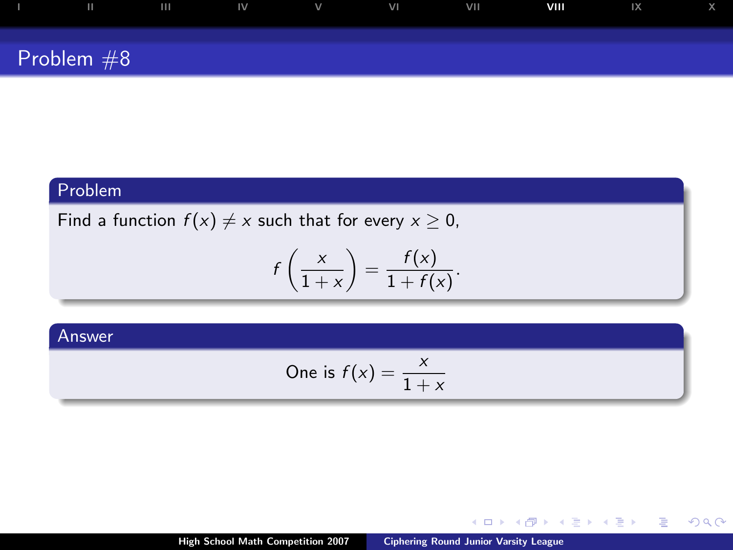| Ш            | $\mathbf{H}$ | $\mathsf{IV}$ | $\vee$ | VI | VII. | VIII | IX |  |
|--------------|--------------|---------------|--------|----|------|------|----|--|
| Problem $#8$ |              |               |        |    |      |      |    |  |

Find a function  $f(x) \neq x$  such that for every  $x \geq 0$ ,

$$
f\left(\frac{x}{1+x}\right)=\frac{f(x)}{1+f(x)}.
$$

### Answer

One is 
$$
f(x) = \frac{x}{1+x}
$$

 $\leftarrow$   $\Box$   $\rightarrow$ 

4 间 **B**  ミド メミド

Þ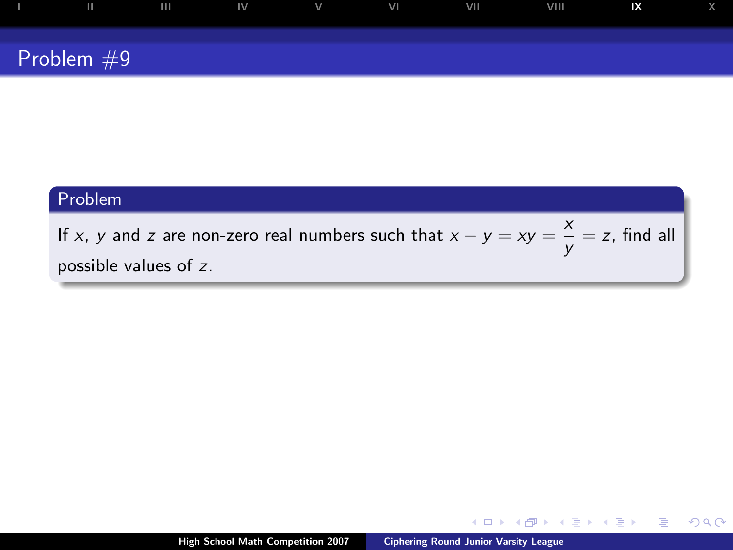

If x, y and z are non-zero real numbers such that  $x - y = xy = \frac{x}{x}$  $\frac{\widehat{}}{y}$  = z, find all possible values of z.

 $\leftarrow$ 

 $2Q$ 

<span id="page-17-0"></span>∍

4 重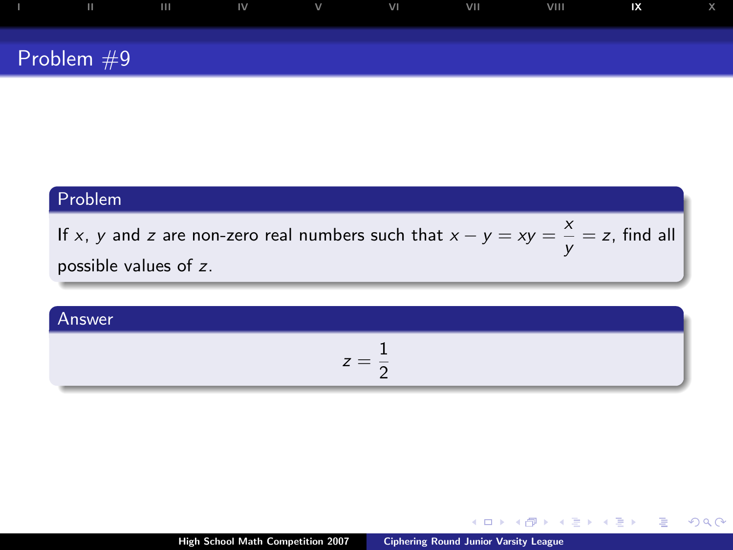

If x, y and z are non-zero real numbers such that  $x - y = xy = \frac{x}{x}$  $\frac{\widehat{}}{y}$  = z, find all possible values of z.

#### Answer

$$
z=\frac{1}{2}
$$

4日)

 $2Q$ 

∍

э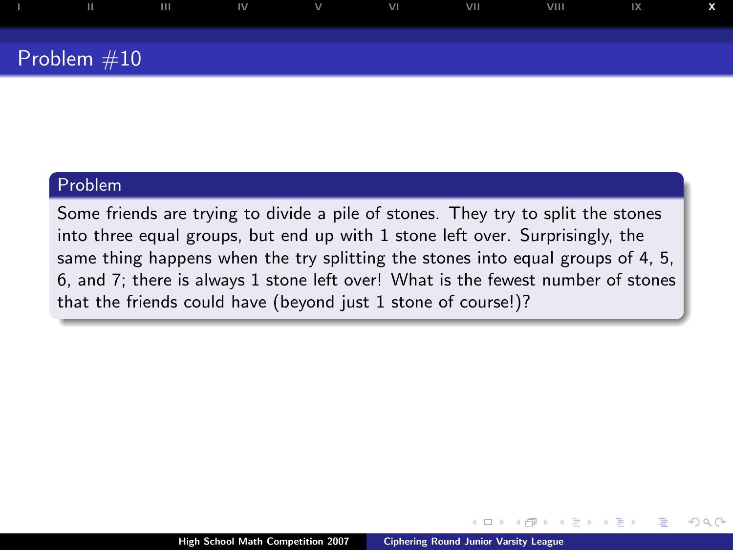# Problem #10

#### Problem

Some friends are trying to divide a pile of stones. They try to split the stones into three equal groups, but end up with 1 stone left over. Surprisingly, the same thing happens when the try splitting the stones into equal groups of 4, 5, 6, and 7; there is always 1 stone left over! What is the fewest number of stones that the friends could have (beyond just 1 stone of course!)?

[I](#page-1-0) [II](#page-3-0) [III](#page-5-0) [IV](#page-7-0) [V](#page-9-0) [VI](#page-11-0) [VII](#page-13-0) [VIII](#page-15-0) [IX](#page-17-0) [X](#page-19-0)

<span id="page-19-0"></span>つへへ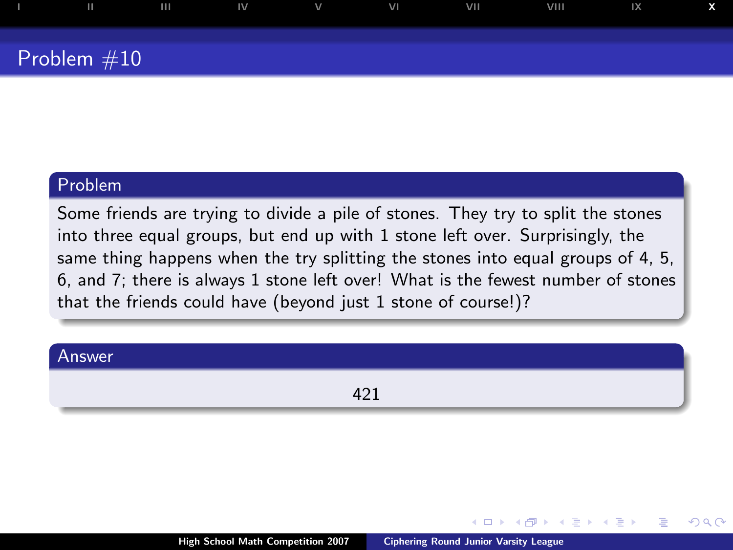# Problem #10

#### Problem

Some friends are trying to divide a pile of stones. They try to split the stones into three equal groups, but end up with 1 stone left over. Surprisingly, the same thing happens when the try splitting the stones into equal groups of 4, 5, 6, and 7; there is always 1 stone left over! What is the fewest number of stones that the friends could have (beyond just 1 stone of course!)?

[I](#page-1-0) [II](#page-3-0) [III](#page-5-0) [IV](#page-7-0) [V](#page-9-0) [VI](#page-11-0) [VII](#page-13-0) [VIII](#page-15-0) [IX](#page-17-0) [X](#page-19-0)

#### Answer

421

つへへ